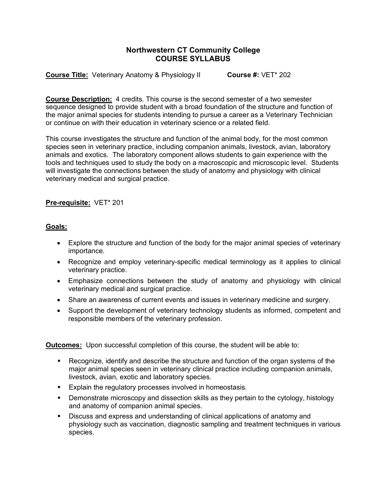## **Northwestern CT Community College COURSE SYLLABUS**

**Course Title:** Veterinary Anatomy & Physiology II **Course #: VET**\* 202

**Course Description:** 4 credits. This course is the second semester of a two semester sequence designed to provide student with a broad foundation of the structure and function of the major animal species for students intending to pursue a career as a Veterinary Technician or continue on with their education in veterinary science or a related field.

This course investigates the structure and function of the animal body, for the most common species seen in veterinary practice, including companion animals, livestock, avian, laboratory animals and exotics. The laboratory component allows students to gain experience with the tools and techniques used to study the body on a macroscopic and microscopic level. Students will investigate the connections between the study of anatomy and physiology with clinical veterinary medical and surgical practice.

## **Pre-requisite:** VET\* 201

## **Goals:**

- Explore the structure and function of the body for the major animal species of veterinary importance.
- Recognize and employ veterinary-specific medical terminology as it applies to clinical veterinary practice.
- Emphasize connections between the study of anatomy and physiology with clinical veterinary medical and surgical practice.
- Share an awareness of current events and issues in veterinary medicine and surgery.
- Support the development of veterinary technology students as informed, competent and responsible members of the veterinary profession.

**Outcomes:** Upon successful completion of this course, the student will be able to:

- § Recognize, identify and describe the structure and function of the organ systems of the major animal species seen in veterinary clinical practice including companion animals, livestock, avian, exotic and laboratory species.
- Explain the regulatory processes involved in homeostasis.
- § Demonstrate microscopy and dissection skills as they pertain to the cytology, histology and anatomy of companion animal species.
- § Discuss and express and understanding of clinical applications of anatomy and physiology such as vaccination, diagnostic sampling and treatment techniques in various species.